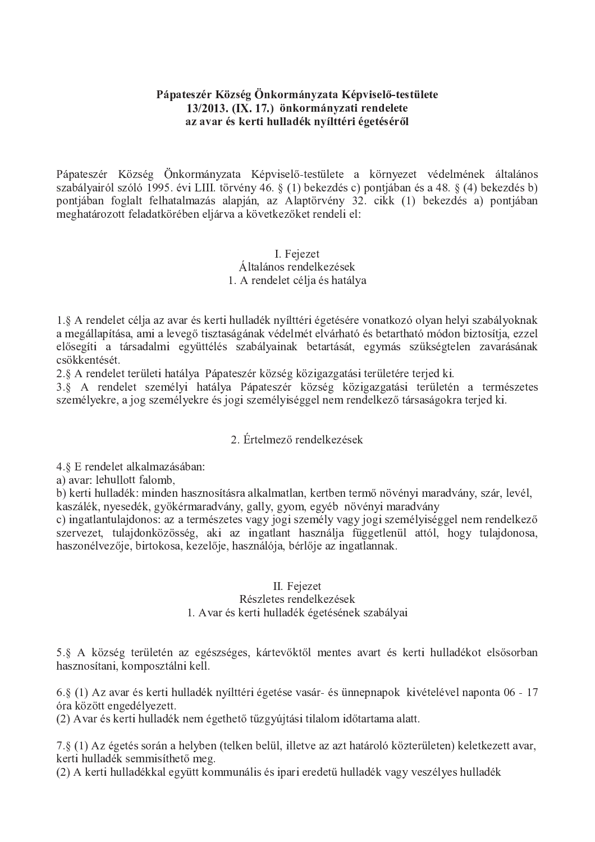## Pápateszér Község Önkormányzata Képviselő-testülete 13/2013. (IX. 17.) önkormányzati rendelete az avar és kerti hulladék nyílttéri égetéséről

Pápateszér Község Önkormányzata Képviselő-testülete a környezet védelmének általános szabályairól szóló 1995. évi LIII. törvény 46. § (1) bekezdés c) pontjában és a 48. § (4) bekezdés b) pontjában foglalt felhatalmazás alapján, az Alaptörvény 32. cikk (1) bekezdés a) pontjában meghatározott feladatkörében eljárva a következőket rendeli el:

#### I. Fejezet Általános rendelkezések 1. A rendelet célia és hatálya

1.§ A rendelet célja az avar és kerti hulladék nyílttéri égetésére vonatkozó olyan helyi szabályoknak a megállapítása, ami a levegő tisztaságának védelmét elvárható és betartható módon biztosítja, ezzel elősegíti a társadalmi együttélés szabályainak betartását, egymás szükségtelen zavarásának csökkentését.

2.§ A rendelet területi hatálya Pápateszér község közigazgatási területére terjed ki.

3.§ A rendelet személyi hatálya Pápateszér község közigazgatási területén a természetes személyekre, a jog személyekre és jogi személyiséggel nem rendelkező társaságokra terjed ki.

# 2. Értelmező rendelkezések

4.8 E rendelet alkalmazásában:

a) avar: lehullott falomb,

b) kerti hulladék: minden hasznosításra alkalmatlan, kertben termő növényi maradvány, szár, levél, kaszálék, nyesedék, gyökérmaradvány, gally, gyom, egyéb növényi maradvány

c) ingatlantulajdonos: az a természetes vagy jogi személy vagy jogi személyiséggel nem rendelkező szervezet, tulajdonközösség, aki az ingatlant használja függetlenül attól, hogy tulajdonosa, haszonélvezője, birtokosa, kezelője, használója, bérlője az ingatlannak.

## II. Feiezet

#### Részletes rendelkezések

1. Avar és kerti hulladék égetésének szabályai

5.§ A község területén az egészséges, kártevőktől mentes avart és kerti hulladékot elsősorban hasznosítani, komposztálni kell.

6.§ (1) Az avar és kerti hulladék nyílttéri égetése vasár- és ünnepnapok kivételével naponta 06 - 17 óra között engedélyezett.

(2) Avar és kerti hulladék nem égethető tűzgyújtási tilalom időtartama alatt.

7.8 (1) Az égetés során a helyben (telken belül, illetve az azt határoló közterületen) keletkezett avar, kerti hulladék semmisíthető meg.

(2) A kerti hulladékkal együtt kommunális és ipari eredetű hulladék vagy veszélyes hulladék